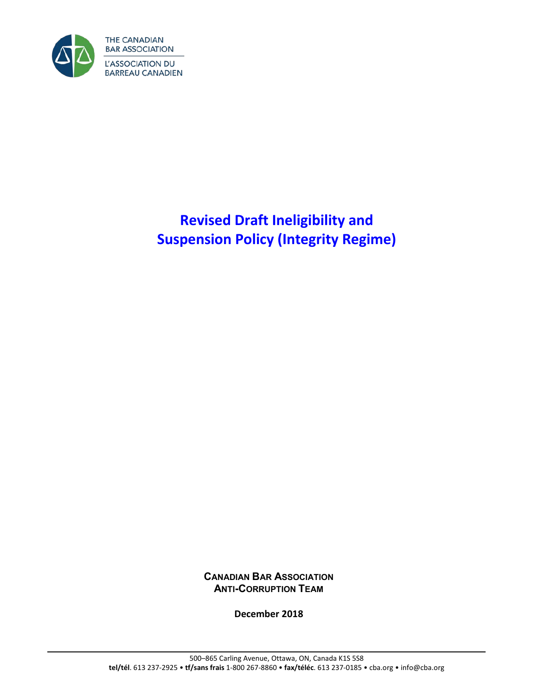

# **Revised Draft Ineligibility and Suspension Policy (Integrity Regime)**

**CANADIAN BAR ASSOCIATION ANTI-CORRUPTION TEAM**

**December 2018**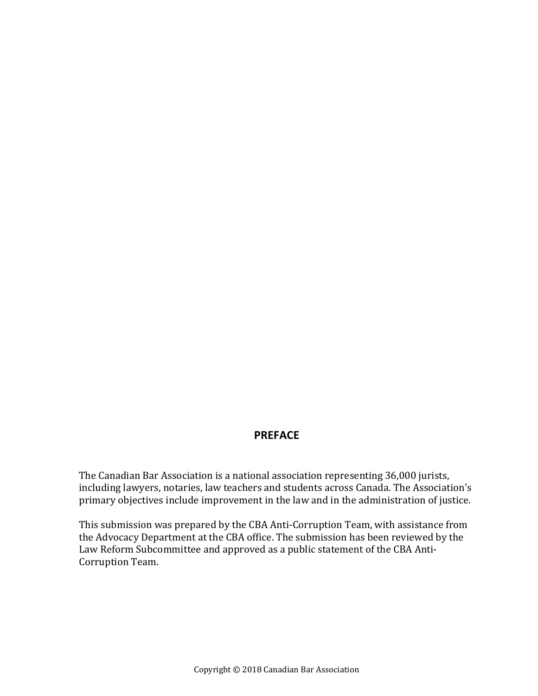#### **PREFACE**

The Canadian Bar Association is a national association representing 36,000 jurists, including lawyers, notaries, law teachers and students across Canada. The Association's primary objectives include improvement in the law and in the administration of justice.

This submission was prepared by the CBA Anti-Corruption Team, with assistance from the Advocacy Department at the CBA office. The submission has been reviewed by the Law Reform Subcommittee and approved as a public statement of the CBA Anti-Corruption Team.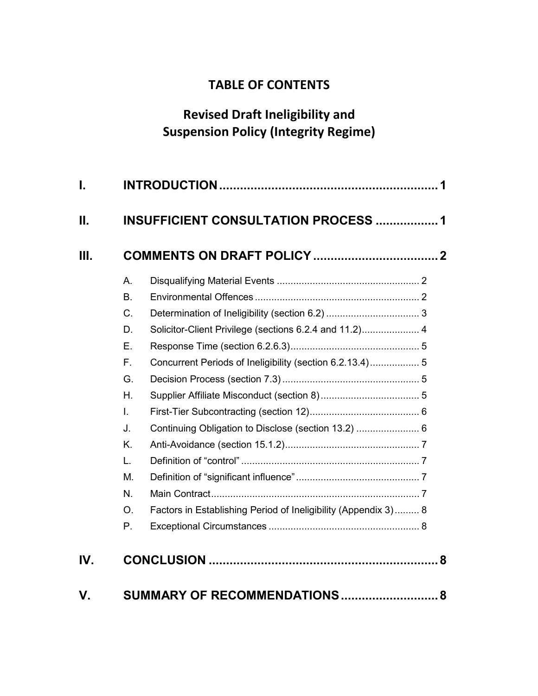# **TABLE OF CONTENTS**

# **Revised Draft Ineligibility and Suspension Policy (Integrity Regime)**

| Ι.        |                                                                                               |                                                                                                                                                                                                                                             |
|-----------|-----------------------------------------------------------------------------------------------|---------------------------------------------------------------------------------------------------------------------------------------------------------------------------------------------------------------------------------------------|
| П.        |                                                                                               | <b>INSUFFICIENT CONSULTATION PROCESS  1</b>                                                                                                                                                                                                 |
| Ш.        |                                                                                               |                                                                                                                                                                                                                                             |
|           | А.<br><b>B.</b><br>C.<br>D.<br>Ε.<br>F.<br>G.<br>Η.<br>I.<br>J.<br>K.<br>L.<br>M.<br>N.<br>O. | Solicitor-Client Privilege (sections 6.2.4 and 11.2) 4<br>Concurrent Periods of Ineligibility (section 6.2.13.4) 5<br>Continuing Obligation to Disclose (section 13.2)  6<br>Factors in Establishing Period of Ineligibility (Appendix 3) 8 |
| IV.<br>V. | Ρ.                                                                                            | SUMMARY OF RECOMMENDATIONS<br>8                                                                                                                                                                                                             |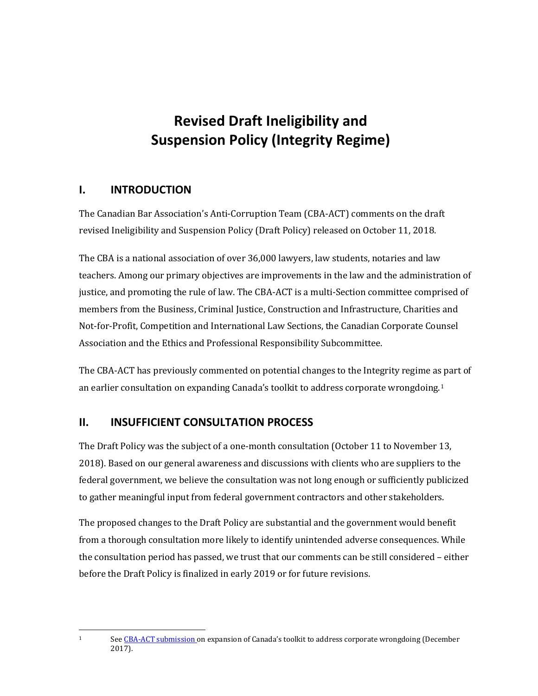# **Revised Draft Ineligibility and Suspension Policy (Integrity Regime)**

#### <span id="page-4-0"></span>**I. INTRODUCTION**

The Canadian Bar Association's Anti-Corruption Team (CBA-ACT) comments on the draft revised Ineligibility and Suspension Policy (Draft Policy) released on October 11, 2018.

The CBA is a national association of over 36,000 lawyers, law students, notaries and law teachers. Among our primary objectives are improvements in the law and the administration of justice, and promoting the rule of law. The CBA-ACT is a multi-Section committee comprised of members from the Business, Criminal Justice, Construction and Infrastructure, Charities and Not-for-Profit, Competition and International Law Sections, the Canadian Corporate Counsel Association and the Ethics and Professional Responsibility Subcommittee.

The CBA-ACT has previously commented on potential changes to the Integrity regime as part of an earlier consultation on expanding Canada's toolkit to address corporate wrongdoing.[1](#page-4-2)

#### <span id="page-4-1"></span>**II. INSUFFICIENT CONSULTATION PROCESS**

The Draft Policy was the subject of a one-month consultation (October 11 to November 13, 2018). Based on our general awareness and discussions with clients who are suppliers to the federal government, we believe the consultation was not long enough or sufficiently publicized to gather meaningful input from federal government contractors and other stakeholders.

The proposed changes to the Draft Policy are substantial and the government would benefit from a thorough consultation more likely to identify unintended adverse consequences. While the consultation period has passed, we trust that our comments can be still considered – either before the Draft Policy is finalized in early 2019 or for future revisions.

<span id="page-4-2"></span> $\mathbf{1}$ 

Se[e CBA-ACT submission o](https://www.cba.org/CMSPages/GetFile.aspx?guid=d437189b-f458-456a-8feb-bc4abe56391a)n expansion of Canada's toolkit to address corporate wrongdoing (December 2017).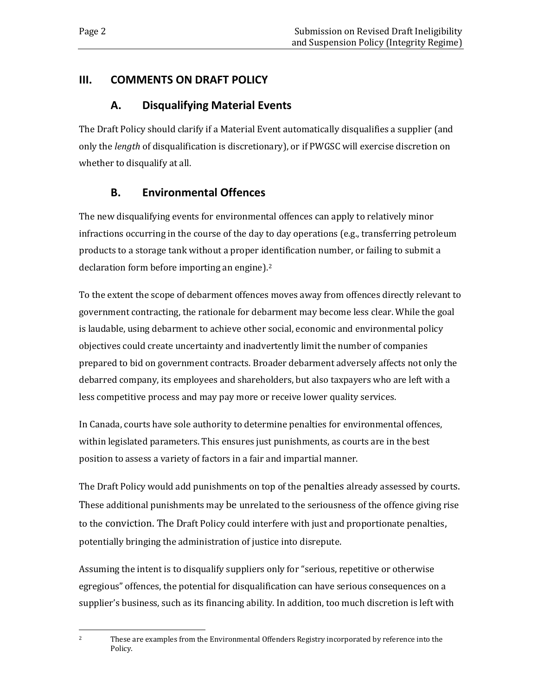#### <span id="page-5-1"></span><span id="page-5-0"></span>**III. COMMENTS ON DRAFT POLICY**

# **A. Disqualifying Material Events**

The Draft Policy should clarify if a Material Event automatically disqualifies a supplier (and only the *length* of disqualification is discretionary), or if PWGSC will exercise discretion on whether to disqualify at all.

# **B. Environmental Offences**

<span id="page-5-2"></span>The new disqualifying events for environmental offences can apply to relatively minor infractions occurring in the course of the day to day operations (e.g., transferring petroleum products to a storage tank without a proper identification number, or failing to submit a declaration form before importing an engine).[2](#page-5-3)

To the extent the scope of debarment offences moves away from offences directly relevant to government contracting, the rationale for debarment may become less clear. While the goal is laudable, using debarment to achieve other social, economic and environmental policy objectives could create uncertainty and inadvertently limit the number of companies prepared to bid on government contracts. Broader debarment adversely affects not only the debarred company, its employees and shareholders, but also taxpayers who are left with a less competitive process and may pay more or receive lower quality services.

In Canada, courts have sole authority to determine penalties for environmental offences, within legislated parameters. This ensures just punishments, as courts are in the best position to assess a variety of factors in a fair and impartial manner.

The Draft Policy would add punishments on top of the penalties already assessed by courts. These additional punishments may be unrelated to the seriousness of the offence giving rise to the conviction. The Draft Policy could interfere with just and proportionate penalties, potentially bringing the administration of justice into disrepute.

Assuming the intent is to disqualify suppliers only for "serious, repetitive or otherwise egregious" offences, the potential for disqualification can have serious consequences on a supplier's business, such as its financing ability. In addition, too much discretion is left with

<span id="page-5-3"></span> $\overline{2}$ 

<sup>2</sup> These are examples from the Environmental Offenders Registry incorporated by reference into the Policy.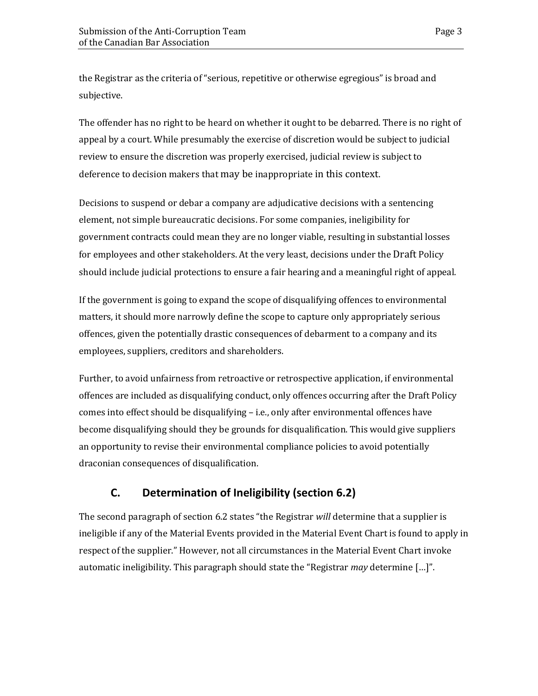the Registrar as the criteria of "serious, repetitive or otherwise egregious" is broad and subjective.

The offender has no right to be heard on whether it ought to be debarred. There is no right of appeal by a court. While presumably the exercise of discretion would be subject to judicial review to ensure the discretion was properly exercised, judicial review is subject to deference to decision makers that may be inappropriate in this context.

Decisions to suspend or debar a company are adjudicative decisions with a sentencing element, not simple bureaucratic decisions. For some companies, ineligibility for government contracts could mean they are no longer viable, resulting in substantial losses for employees and other stakeholders. At the very least, decisions under the Draft Policy should include judicial protections to ensure a fair hearing and a meaningful right of appeal.

If the government is going to expand the scope of disqualifying offences to environmental matters, it should more narrowly define the scope to capture only appropriately serious offences, given the potentially drastic consequences of debarment to a company and its employees, suppliers, creditors and shareholders.

Further, to avoid unfairness from retroactive or retrospective application, if environmental offences are included as disqualifying conduct, only offences occurring after the Draft Policy comes into effect should be disqualifying – i.e., only after environmental offences have become disqualifying should they be grounds for disqualification. This would give suppliers an opportunity to revise their environmental compliance policies to avoid potentially draconian consequences of disqualification.

# <span id="page-6-0"></span>**C. Determination of Ineligibility (section 6.2)**

The second paragraph of section 6.2 states "the Registrar *will* determine that a supplier is ineligible if any of the Material Events provided in the Material Event Chart is found to apply in respect of the supplier." However, not all circumstances in the Material Event Chart invoke automatic ineligibility. This paragraph should state the "Registrar *may* determine […]".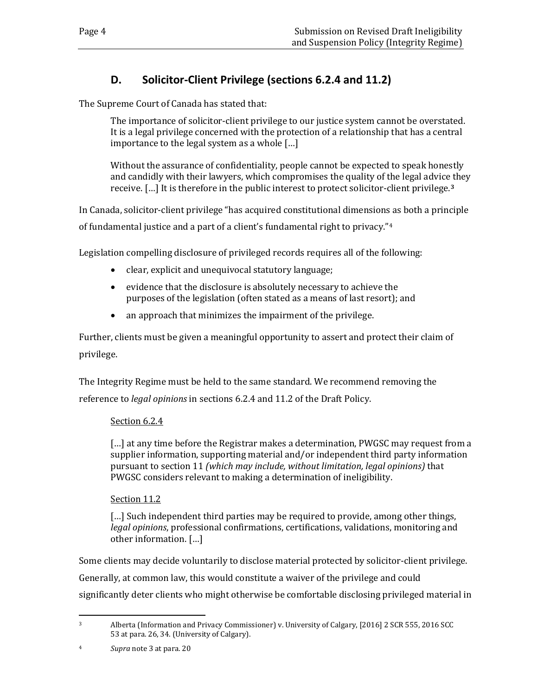# **D. Solicitor-Client Privilege (sections 6.2.4 and 11.2)**

<span id="page-7-0"></span>The Supreme Court of Canada has stated that:

The importance of solicitor-client privilege to our justice system cannot be overstated. It is a legal privilege concerned with the protection of a relationship that has a central importance to the legal system as a whole […]

Without the assurance of confidentiality, people cannot be expected to speak honestly and candidly with their lawyers, which compromises the quality of the legal advice they receive. […] It is therefore in the public interest to protect solicitor-client privilege.**[3](#page-7-1)**

In Canada, solicitor-client privilege "has acquired constitutional dimensions as both a principle

of fundamental justice and a part of a client's fundamental right to privacy."[4](#page-7-2)

Legislation compelling disclosure of privileged records requires all of the following:

- clear, explicit and unequivocal statutory language;
- evidence that the disclosure is absolutely necessary to achieve the purposes of the legislation (often stated as a means of last resort); and
- an approach that minimizes the impairment of the privilege.

Further, clients must be given a meaningful opportunity to assert and protect their claim of privilege.

The Integrity Regime must be held to the same standard. We recommend removing the reference to *legal opinions* in sections 6.2.4 and 11.2 of the Draft Policy.

#### Section 6.2.4

[...] at any time before the Registrar makes a determination, PWGSC may request from a supplier information, supporting material and/or independent third party information pursuant to section 11 *(which may include, without limitation, legal opinions)* that PWGSC considers relevant to making a determination of ineligibility.

#### Section 11.2

[...] Such independent third parties may be required to provide, among other things, *legal opinions*, professional confirmations, certifications, validations, monitoring and other information. […]

Some clients may decide voluntarily to disclose material protected by solicitor-client privilege.

Generally, at common law, this would constitute a waiver of the privilege and could

significantly deter clients who might otherwise be comfortable disclosing privileged material in

<span id="page-7-1"></span> $\overline{3}$ 3 Alberta (Information and Privacy Commissioner) v. University of Calgary, [2016] 2 SCR 555, 2016 SCC 53 at para. 26, 34. (University of Calgary).

<span id="page-7-2"></span><sup>4</sup> *Supra* note 3 at para. 20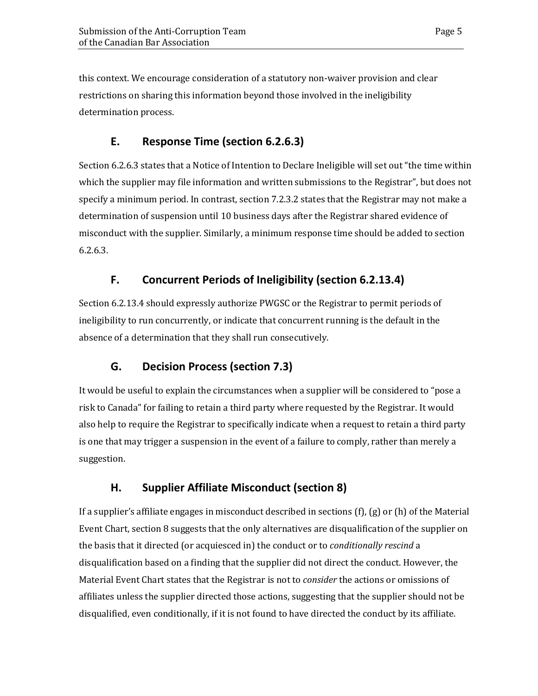this context. We encourage consideration of a statutory non-waiver provision and clear restrictions on sharing this information beyond those involved in the ineligibility determination process.

#### <span id="page-8-0"></span>**E. Response Time (section 6.2.6.3)**

Section 6.2.6.3 states that a Notice of Intention to Declare Ineligible will set out "the time within which the supplier may file information and written submissions to the Registrar", but does not specify a minimum period. In contrast, section 7.2.3.2 states that the Registrar may not make a determination of suspension until 10 business days after the Registrar shared evidence of misconduct with the supplier. Similarly, a minimum response time should be added to section 6.2.6.3.

## <span id="page-8-1"></span>**F. Concurrent Periods of Ineligibility (section 6.2.13.4)**

Section 6.2.13.4 should expressly authorize PWGSC or the Registrar to permit periods of ineligibility to run concurrently, or indicate that concurrent running is the default in the absence of a determination that they shall run consecutively.

## <span id="page-8-2"></span>**G. Decision Process (section 7.3)**

It would be useful to explain the circumstances when a supplier will be considered to "pose a risk to Canada" for failing to retain a third party where requested by the Registrar. It would also help to require the Registrar to specifically indicate when a request to retain a third party is one that may trigger a suspension in the event of a failure to comply, rather than merely a suggestion.

## <span id="page-8-3"></span>**H. Supplier Affiliate Misconduct (section 8)**

If a supplier's affiliate engages in misconduct described in sections  $(f)$ ,  $(g)$  or  $(h)$  of the Material Event Chart, section 8 suggests that the only alternatives are disqualification of the supplier on the basis that it directed (or acquiesced in) the conduct or to *conditionally rescind* a disqualification based on a finding that the supplier did not direct the conduct. However, the Material Event Chart states that the Registrar is not to *consider* the actions or omissions of affiliates unless the supplier directed those actions, suggesting that the supplier should not be disqualified, even conditionally, if it is not found to have directed the conduct by its affiliate.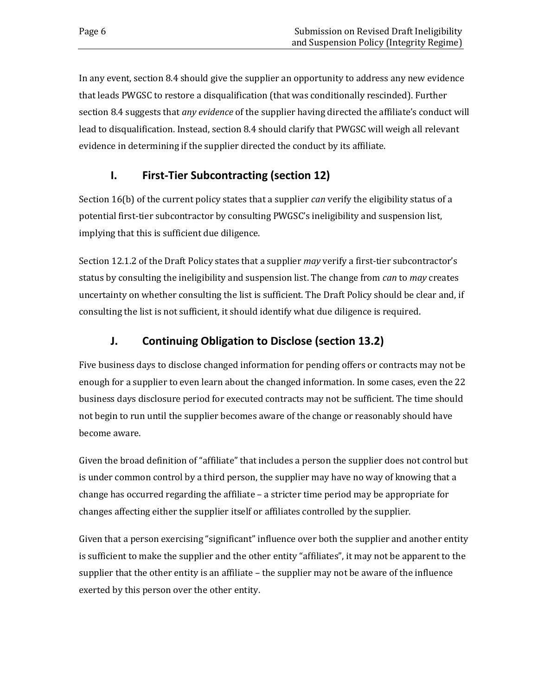In any event, section 8.4 should give the supplier an opportunity to address any new evidence that leads PWGSC to restore a disqualification (that was conditionally rescinded). Further section 8.4 suggests that *any evidence* of the supplier having directed the affiliate's conduct will lead to disqualification. Instead, section 8.4 should clarify that PWGSC will weigh all relevant evidence in determining if the supplier directed the conduct by its affiliate.

## <span id="page-9-0"></span>**I. First-Tier Subcontracting (section 12)**

Section 16(b) of the current policy states that a supplier *can* verify the eligibility status of a potential first-tier subcontractor by consulting PWGSC's ineligibility and suspension list, implying that this is sufficient due diligence.

Section 12.1.2 of the Draft Policy states that a supplier *may* verify a first-tier subcontractor's status by consulting the ineligibility and suspension list. The change from *can* to *may* creates uncertainty on whether consulting the list is sufficient. The Draft Policy should be clear and, if consulting the list is not sufficient, it should identify what due diligence is required.

# <span id="page-9-1"></span>**J. Continuing Obligation to Disclose (section 13.2)**

Five business days to disclose changed information for pending offers or contracts may not be enough for a supplier to even learn about the changed information. In some cases, even the 22 business days disclosure period for executed contracts may not be sufficient. The time should not begin to run until the supplier becomes aware of the change or reasonably should have become aware.

Given the broad definition of "affiliate" that includes a person the supplier does not control but is under common control by a third person, the supplier may have no way of knowing that a change has occurred regarding the affiliate – a stricter time period may be appropriate for changes affecting either the supplier itself or affiliates controlled by the supplier.

Given that a person exercising "significant" influence over both the supplier and another entity is sufficient to make the supplier and the other entity "affiliates", it may not be apparent to the supplier that the other entity is an affiliate – the supplier may not be aware of the influence exerted by this person over the other entity.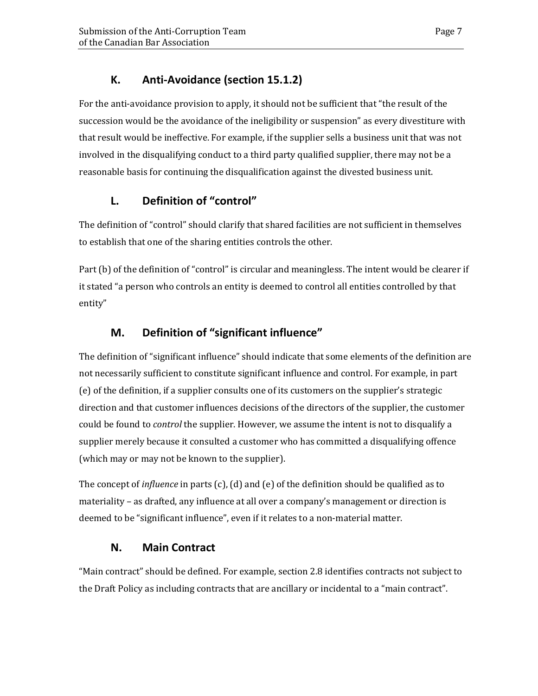# **K. Anti-Avoidance (section 15.1.2)**

<span id="page-10-0"></span>For the anti-avoidance provision to apply, it should not be sufficient that "the result of the succession would be the avoidance of the ineligibility or suspension" as every divestiture with that result would be ineffective. For example, if the supplier sells a business unit that was not involved in the disqualifying conduct to a third party qualified supplier, there may not be a reasonable basis for continuing the disqualification against the divested business unit.

# <span id="page-10-1"></span>**L. Definition of "control"**

The definition of "control" should clarify that shared facilities are not sufficient in themselves to establish that one of the sharing entities controls the other.

Part (b) of the definition of "control" is circular and meaningless. The intent would be clearer if it stated "a person who controls an entity is deemed to control all entities controlled by that entity"

# <span id="page-10-2"></span>**M. Definition of "significant influence"**

The definition of "significant influence" should indicate that some elements of the definition are not necessarily sufficient to constitute significant influence and control. For example, in part (e) of the definition, if a supplier consults one of its customers on the supplier's strategic direction and that customer influences decisions of the directors of the supplier, the customer could be found to *control* the supplier. However, we assume the intent is not to disqualify a supplier merely because it consulted a customer who has committed a disqualifying offence (which may or may not be known to the supplier).

The concept of *influence* in parts (c), (d) and (e) of the definition should be qualified as to materiality – as drafted, any influence at all over a company's management or direction is deemed to be "significant influence", even if it relates to a non-material matter.

## **N. Main Contract**

<span id="page-10-3"></span>"Main contract" should be defined. For example, section 2.8 identifies contracts not subject to the Draft Policy as including contracts that are ancillary or incidental to a "main contract".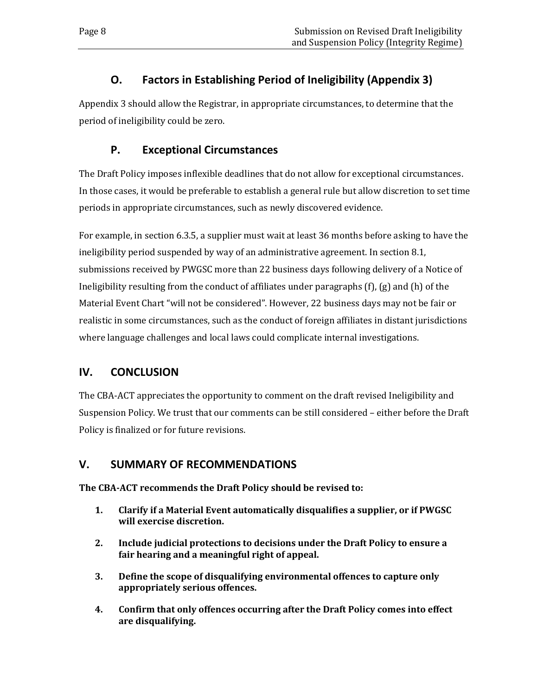# **O. Factors in Establishing Period of Ineligibility (Appendix 3)**

<span id="page-11-1"></span><span id="page-11-0"></span>Appendix 3 should allow the Registrar, in appropriate circumstances, to determine that the period of ineligibility could be zero.

# **P. Exceptional Circumstances**

The Draft Policy imposes inflexible deadlines that do not allow for exceptional circumstances. In those cases, it would be preferable to establish a general rule but allow discretion to set time periods in appropriate circumstances, such as newly discovered evidence.

For example, in section 6.3.5, a supplier must wait at least 36 months before asking to have the ineligibility period suspended by way of an administrative agreement. In section 8.1, submissions received by PWGSC more than 22 business days following delivery of a Notice of Ineligibility resulting from the conduct of affiliates under paragraphs (f), (g) and (h) of the Material Event Chart "will not be considered". However, 22 business days may not be fair or realistic in some circumstances, such as the conduct of foreign affiliates in distant jurisdictions where language challenges and local laws could complicate internal investigations.

## <span id="page-11-2"></span>**IV. CONCLUSION**

The CBA-ACT appreciates the opportunity to comment on the draft revised Ineligibility and Suspension Policy. We trust that our comments can be still considered – either before the Draft Policy is finalized or for future revisions.

## <span id="page-11-3"></span>**V. SUMMARY OF RECOMMENDATIONS**

**The CBA-ACT recommends the Draft Policy should be revised to:** 

- **1. Clarify if a Material Event automatically disqualifies a supplier, or if PWGSC will exercise discretion.**
- **2. Include judicial protections to decisions under the Draft Policy to ensure a fair hearing and a meaningful right of appeal.**
- **3. Define the scope of disqualifying environmental offences to capture only appropriately serious offences.**
- **4. Confirm that only offences occurring after the Draft Policy comes into effect are disqualifying.**